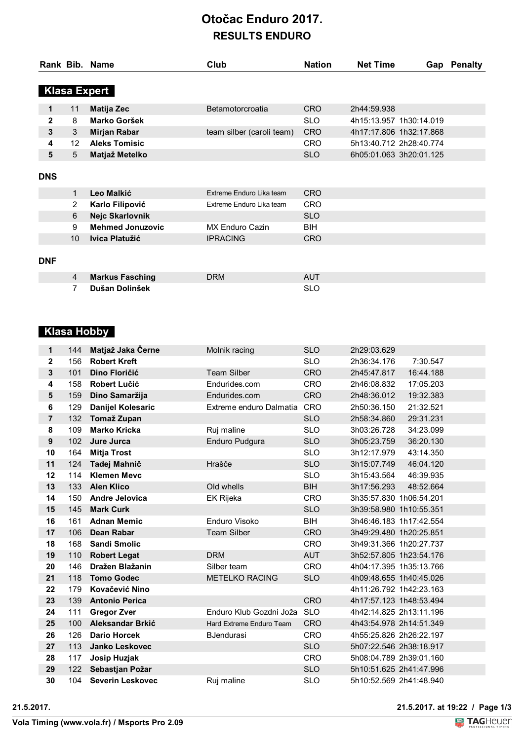## **Otočac Enduro 2017. RESULTS ENDURO**

|              |                     | Rank Bib. Name          | Club                      | <b>Nation</b> | <b>Net Time</b>         |  | Gap Penalty |  |  |  |
|--------------|---------------------|-------------------------|---------------------------|---------------|-------------------------|--|-------------|--|--|--|
|              |                     |                         |                           |               |                         |  |             |  |  |  |
|              | <b>Klasa Expert</b> |                         |                           |               |                         |  |             |  |  |  |
| 1            | 11                  | <b>Matija Zec</b>       | Betamotorcroatia          | <b>CRO</b>    | 2h44:59.938             |  |             |  |  |  |
| $\mathbf{2}$ | 8                   | Marko Goršek            |                           | <b>SLO</b>    | 4h15:13.957 1h30:14.019 |  |             |  |  |  |
| 3            | 3                   | Mirjan Rabar            | team silber (caroli team) | <b>CRO</b>    | 4h17:17.806 1h32:17.868 |  |             |  |  |  |
| 4            | 12 <sup>°</sup>     | <b>Aleks Tomisic</b>    |                           | <b>CRO</b>    | 5h13:40.712 2h28:40.774 |  |             |  |  |  |
| 5            | 5                   | Matjaž Metelko          |                           | <b>SLO</b>    | 6h05:01.063 3h20:01.125 |  |             |  |  |  |
|              |                     |                         |                           |               |                         |  |             |  |  |  |
| <b>DNS</b>   |                     |                         |                           |               |                         |  |             |  |  |  |
|              | $\mathbf 1$         | Leo Malkić              | Extreme Enduro Lika team  | <b>CRO</b>    |                         |  |             |  |  |  |
|              | 2                   | Karlo Filipović         | Extreme Enduro Lika team  | <b>CRO</b>    |                         |  |             |  |  |  |
|              | 6                   | Nejc Skarlovnik         |                           | <b>SLO</b>    |                         |  |             |  |  |  |
|              | 9                   | <b>Mehmed Jonuzovic</b> | <b>MX Enduro Cazin</b>    | <b>BIH</b>    |                         |  |             |  |  |  |
|              | 10                  | Ivica Platužić          | <b>IPRACING</b>           | <b>CRO</b>    |                         |  |             |  |  |  |
|              |                     |                         |                           |               |                         |  |             |  |  |  |
| <b>DNF</b>   |                     |                         |                           |               |                         |  |             |  |  |  |
|              | $\overline{4}$      | <b>Markus Fasching</b>  | <b>DRM</b>                | <b>AUT</b>    |                         |  |             |  |  |  |
|              | 7                   | Dušan Dolinšek          |                           | <b>SLO</b>    |                         |  |             |  |  |  |

## **Klasa Hobby**

| 1              | 144 | Matjaž Jaka Černe                          | Molnik racing            | <b>SLO</b>               | 2h29:03.629                                        |           |
|----------------|-----|--------------------------------------------|--------------------------|--------------------------|----------------------------------------------------|-----------|
| $\mathbf 2$    | 156 | <b>Robert Kreft</b>                        |                          | <b>SLO</b>               | 2h36:34.176                                        | 7:30.547  |
| 3              | 101 | Dino Floričić                              | Team Silber              | <b>CRO</b>               | 2h45:47.817                                        | 16:44.188 |
| 4              | 158 | <b>Robert Lučić</b>                        | Endurides.com            | <b>CRO</b>               | 2h46:08.832                                        | 17:05.203 |
| 5              | 159 | Dino Samaržija                             | Endurides.com            | <b>CRO</b>               | 2h48:36.012                                        | 19:32.383 |
| 6              | 129 | <b>Danijel Kolesaric</b>                   | Extreme enduro Dalmatia  | CRO                      | 2h50:36.150                                        | 21:32.521 |
| $\overline{7}$ | 132 | Tomaž Zupan                                |                          | <b>SLO</b>               | 2h58:34.860                                        | 29:31.231 |
| 8              | 109 | <b>Marko Kricka</b>                        | Ruj maline               | <b>SLO</b>               | 3h03:26.728                                        | 34:23.099 |
| 9              | 102 | Jure Jurca                                 | Enduro Pudgura           | <b>SLO</b>               | 3h05:23.759                                        | 36:20.130 |
| 10             | 164 | <b>Mitja Trost</b>                         |                          | <b>SLO</b>               | 3h12:17.979                                        | 43:14.350 |
| 11             | 124 | Tadej Mahnič                               | Hrašče                   | <b>SLO</b>               | 3h15:07.749                                        | 46:04.120 |
| 12             | 114 | <b>Klemen Mevc</b>                         |                          | <b>SLO</b>               | 3h15:43.564                                        | 46:39.935 |
| 13             | 133 | <b>Alen Klico</b>                          | Old whells               | <b>BIH</b>               | 3h17:56.293                                        | 48:52.664 |
| 14             | 150 | <b>Andre Jelovica</b>                      | EK Rijeka                | <b>CRO</b>               | 3h35:57.830 1h06:54.201                            |           |
| 15             | 145 | <b>Mark Curk</b>                           |                          | <b>SLO</b>               | 3h39:58.980 1h10:55.351                            |           |
| 16             | 161 | <b>Adnan Memic</b>                         | Enduro Visoko            | <b>BIH</b>               | 3h46:46.183 1h17:42.554                            |           |
|                |     |                                            |                          |                          |                                                    |           |
| 17             | 106 | <b>Dean Rabar</b>                          | <b>Team Silber</b>       | <b>CRO</b>               | 3h49:29.480 1h20:25.851                            |           |
| 18             | 168 | <b>Sandi Smolic</b>                        |                          | <b>CRO</b>               | 3h49:31.366 1h20:27.737                            |           |
| 19             | 110 | <b>Robert Legat</b>                        | <b>DRM</b>               | <b>AUT</b>               | 3h52:57.805 1h23:54.176                            |           |
| 20             | 146 | Dražen Blažanin                            | Silber team              | <b>CRO</b>               | 4h04:17.395 1h35:13.766                            |           |
| 21             | 118 | <b>Tomo Godec</b>                          | <b>METELKO RACING</b>    | <b>SLO</b>               | 4h09:48.655 1h40:45.026                            |           |
| 22             | 179 | Kovačević Nino                             |                          |                          | 4h11:26.792 1h42:23.163                            |           |
| 23             | 139 | <b>Antonio Perica</b>                      |                          | <b>CRO</b>               | 4h17:57.123 1h48:53.494                            |           |
| 24             | 111 | <b>Gregor Zver</b>                         | Enduro Klub Gozdni Joža  | <b>SLO</b>               | 4h42:14.825 2h13:11.196                            |           |
| 25             | 100 | Aleksandar Brkić                           | Hard Extreme Enduro Team | <b>CRO</b>               | 4h43:54.978 2h14:51.349                            |           |
| 26             | 126 | <b>Dario Horcek</b>                        | <b>BJendurasi</b>        | <b>CRO</b>               | 4h55:25.826 2h26:22.197                            |           |
| 27             | 113 | Janko Leskovec                             |                          | <b>SLO</b>               | 5h07:22.546 2h38:18.917                            |           |
| 28             | 117 | Josip Huzjak                               |                          | <b>CRO</b>               | 5h08:04.789 2h39:01.160                            |           |
| 29<br>30       | 122 | Sebastjan Požar<br><b>Severin Leskovec</b> | Ruj maline               | <b>SLO</b><br><b>SLO</b> | 5h10:51.625 2h41:47.996<br>5h10:52.569 2h41:48.940 |           |

**Vola Timing (www.vola.fr) / Msports Pro 2.09**

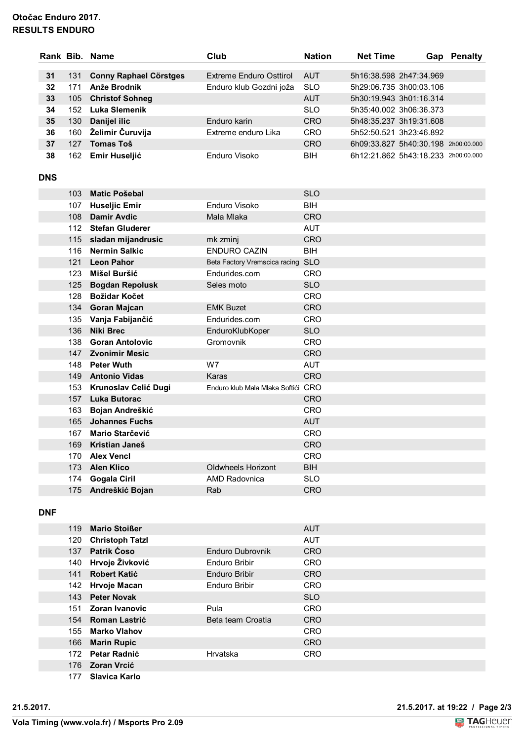### **Otočac Enduro 2017. RESULTS ENDURO**

|            |                  | Rank Bib. Name                           | Club                               | <b>Nation</b>            | <b>Net Time</b> | Gap                                 | <b>Penalty</b> |
|------------|------------------|------------------------------------------|------------------------------------|--------------------------|-----------------|-------------------------------------|----------------|
| 31         | 131              | <b>Conny Raphael Cörstges</b>            | <b>Extreme Enduro Osttirol</b>     | <b>AUT</b>               |                 | 5h16:38.598 2h47:34.969             |                |
| 32         | 171              | Anže Brodnik                             | Enduro klub Gozdni joža            | <b>SLO</b>               |                 | 5h29:06.735 3h00:03.106             |                |
| 33         | 105              | <b>Christof Sohneg</b>                   |                                    | <b>AUT</b>               |                 | 5h30:19.943 3h01:16.314             |                |
| 34         | 152              | <b>Luka Slemenik</b>                     |                                    | <b>SLO</b>               |                 | 5h35:40.002 3h06:36.373             |                |
| 35         | 130              | Danijel ilic                             | Enduro karin                       | <b>CRO</b>               |                 | 5h48:35.237 3h19:31.608             |                |
| 36         | 160              | Želimir Čuruvija                         | Extreme enduro Lika                | <b>CRO</b>               |                 | 5h52:50.521 3h23:46.892             |                |
| 37         | 127              | <b>Tomas Toš</b>                         |                                    | <b>CRO</b>               |                 | 6h09:33.827 5h40:30.198 2h00:00.000 |                |
| 38         | 162              | Emir Huseljić                            | Enduro Visoko                      | BIH                      |                 | 6h12:21.862 5h43:18.233 2h00:00.000 |                |
|            |                  |                                          |                                    |                          |                 |                                     |                |
| <b>DNS</b> |                  |                                          |                                    |                          |                 |                                     |                |
|            | 103 <sub>1</sub> | <b>Matic Pošebal</b>                     |                                    | <b>SLO</b>               |                 |                                     |                |
|            | 107              | <b>Huseljic Emir</b>                     | Enduro Visoko                      | BIH                      |                 |                                     |                |
|            | 108              | <b>Damir Avdic</b>                       | Mala Mlaka                         | <b>CRO</b>               |                 |                                     |                |
|            | 112              | <b>Stefan Gluderer</b>                   |                                    | <b>AUT</b>               |                 |                                     |                |
|            | 115              | sladan mijandrusic                       | mk zminj                           | <b>CRO</b>               |                 |                                     |                |
|            | 116              | <b>Nermin Salkic</b>                     | <b>ENDURO CAZIN</b>                | BIH                      |                 |                                     |                |
|            | 121              | <b>Leon Pahor</b>                        | Beta Factory Vremscica racing SLO  |                          |                 |                                     |                |
|            | 123              | Mišel Buršić                             | Endurides.com                      | <b>CRO</b>               |                 |                                     |                |
|            | 125              | <b>Bogdan Repolusk</b>                   | Seles moto                         | <b>SLO</b>               |                 |                                     |                |
|            | 128              | <b>Božidar Kočet</b>                     |                                    | <b>CRO</b>               |                 |                                     |                |
|            |                  | 134 Goran Majcan                         | <b>EMK Buzet</b>                   | <b>CRO</b>               |                 |                                     |                |
|            | 135              | Vanja Fabijančić                         | Endurides.com                      | <b>CRO</b>               |                 |                                     |                |
|            | 136              | <b>Niki Brec</b>                         | EnduroKlubKoper                    | <b>SLO</b>               |                 |                                     |                |
|            | 138              | <b>Goran Antolovic</b>                   | Gromovnik                          | <b>CRO</b>               |                 |                                     |                |
|            | 147              | <b>Zvonimir Mesic</b>                    |                                    | <b>CRO</b>               |                 |                                     |                |
|            | 148              | <b>Peter Wuth</b>                        | W7                                 | <b>AUT</b>               |                 |                                     |                |
|            | 149              | <b>Antonio Vidas</b>                     | Karas                              | <b>CRO</b>               |                 |                                     |                |
|            | 153              | <b>Krunoslav Celić Dugi</b>              | Enduro klub Mala Mlaka Softići CRO |                          |                 |                                     |                |
|            | 157              | <b>Luka Butorac</b>                      |                                    | <b>CRO</b>               |                 |                                     |                |
|            | 163<br>165       | Bojan Andreškić<br><b>Johannes Fuchs</b> |                                    | <b>CRO</b><br><b>AUT</b> |                 |                                     |                |
|            | 167              | Mario Starčević                          |                                    | CRO                      |                 |                                     |                |
|            | 169              | Kristian Janeš                           |                                    | <b>CRO</b>               |                 |                                     |                |
|            | 170              | <b>Alex Vencl</b>                        |                                    | <b>CRO</b>               |                 |                                     |                |
|            | 173              | <b>Alen Klico</b>                        | Oldwheels Horizont                 | <b>BIH</b>               |                 |                                     |                |
|            | 174              | <b>Gogala Ciril</b>                      | <b>AMD Radovnica</b>               | <b>SLO</b>               |                 |                                     |                |
|            | 175              | Andreškić Bojan                          | Rab                                | <b>CRO</b>               |                 |                                     |                |
|            |                  |                                          |                                    |                          |                 |                                     |                |

#### **DNF**

| 119 | <b>Mario Stoißer</b>   |                      | <b>AUT</b> |
|-----|------------------------|----------------------|------------|
| 120 | <b>Christoph Tatzl</b> |                      | <b>AUT</b> |
| 137 | Patrik Coso            | Enduro Dubrovnik     | <b>CRO</b> |
| 140 | Hrvoje Živković        | <b>Enduro Bribir</b> | <b>CRO</b> |
| 141 | <b>Robert Katić</b>    | Enduro Bribir        | <b>CRO</b> |
| 142 | Hrvoje Macan           | Enduro Bribir        | <b>CRO</b> |
|     | 143 Peter Novak        |                      | <b>SLO</b> |
| 151 | Zoran Ivanovic         | Pula                 | <b>CRO</b> |
|     | 154 Roman Lastrić      | Beta team Croatia    | <b>CRO</b> |
| 155 | <b>Marko Vlahov</b>    |                      | <b>CRO</b> |
| 166 | <b>Marin Rupic</b>     |                      | <b>CRO</b> |
| 172 | Petar Radnić           | Hrvatska             | <b>CRO</b> |
|     | 176 Zoran Vrcić        |                      |            |
| 177 | Slavica Karlo          |                      |            |

**21.5.2017. 21.5.2017. at 19:22 / Page 2/3**